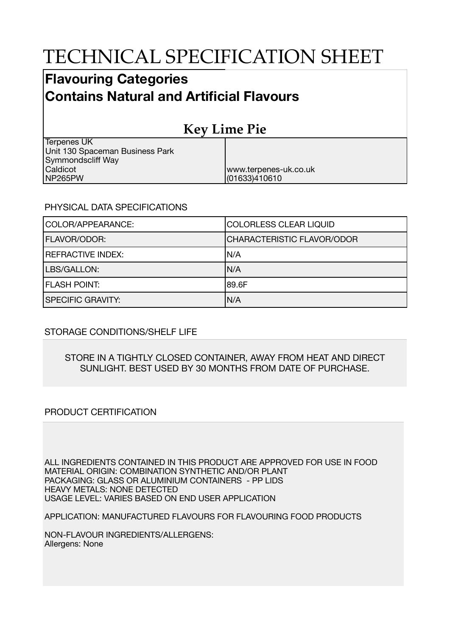# TECHNICAL SPECIFICATION SHEET

### **Flavouring Categories Contains Natural and Artificial Flavours**

## **Key Lime Pie**

www.terpenes-uk.co.uk

(01633)410610

Terpenes UK Unit 130 Spaceman Business Park Symmondscliff Way Caldicot NP265PW

#### PHYSICAL DATA SPECIFICATIONS

| COLOR/APPEARANCE:        | COLORLESS CLEAR LIQUID            |
|--------------------------|-----------------------------------|
| <b>FLAVOR/ODOR:</b>      | <b>CHARACTERISTIC FLAVOR/ODOR</b> |
| <b>REFRACTIVE INDEX:</b> | IN/A                              |
| LBS/GALLON:              | N/A                               |
| <b>FLASH POINT:</b>      | 189.6F                            |
| <b>SPECIFIC GRAVITY:</b> | N/A                               |

#### STORAGE CONDITIONS/SHELF LIFE

#### STORE IN A TIGHTLY CLOSED CONTAINER, AWAY FROM HEAT AND DIRECT SUNLIGHT. BEST USED BY 30 MONTHS FROM DATE OF PURCHASE.

#### PRODUCT CERTIFICATION

ALL INGREDIENTS CONTAINED IN THIS PRODUCT ARE APPROVED FOR USE IN FOOD MATERIAL ORIGIN: COMBINATION SYNTHETIC AND/OR PLANT PACKAGING: GLASS OR ALUMINIUM CONTAINERS - PP LIDS HEAVY METALS: NONE DETECTED USAGE LEVEL: VARIES BASED ON END USER APPLICATION

APPLICATION: MANUFACTURED FLAVOURS FOR FLAVOURING FOOD PRODUCTS

NON-FLAVOUR INGREDIENTS/ALLERGENS: Allergens: None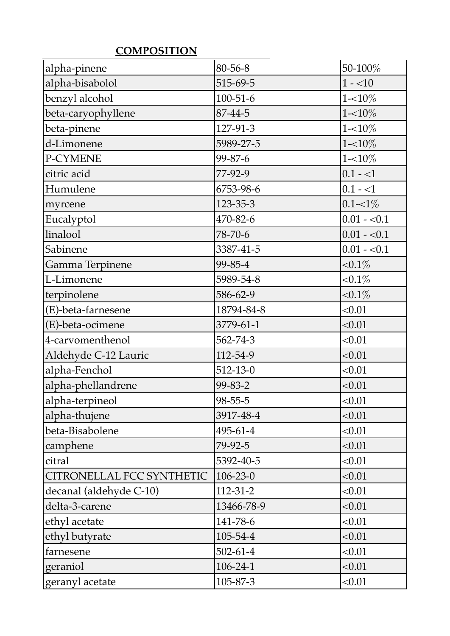| <b>COMPOSITION</b>        |                |              |
|---------------------------|----------------|--------------|
| alpha-pinene              | 80-56-8        | 50-100%      |
| alpha-bisabolol           | 515-69-5       | $1 - 10$     |
| benzyl alcohol            | $100 - 51 - 6$ | $1 - 10\%$   |
| beta-caryophyllene        | 87-44-5        | $1 - 10\%$   |
| beta-pinene               | 127-91-3       | $1 - 10\%$   |
| d-Limonene                | 5989-27-5      | $1 - 10\%$   |
| P-CYMENE                  | 99-87-6        | $1 - 10\%$   |
| citric acid               | 77-92-9        | $0.1 - 1$    |
| Humulene                  | 6753-98-6      | $0.1 - 1$    |
| myrcene                   | 123-35-3       | $0.1 - 1\%$  |
| Eucalyptol                | 470-82-6       | $0.01 - 0.1$ |
| linalool                  | 78-70-6        | $0.01 - 0.1$ |
| Sabinene                  | 3387-41-5      | $0.01 - 0.1$ |
| Gamma Terpinene           | 99-85-4        | ${<}0.1\%$   |
| L-Limonene                | 5989-54-8      | $< 0.1\%$    |
| terpinolene               | 586-62-9       | ${<}0.1\%$   |
| (E)-beta-farnesene        | 18794-84-8     | < 0.01       |
| (E)-beta-ocimene          | 3779-61-1      | < 0.01       |
| 4-carvomenthenol          | 562-74-3       | < 0.01       |
| Aldehyde C-12 Lauric      | 112-54-9       | < 0.01       |
| alpha-Fenchol             | $512 - 13 - 0$ | < 0.01       |
| alpha-phellandrene        | 99-83-2        | < 0.01       |
| alpha-terpineol           | $98 - 55 - 5$  | < 0.01       |
| alpha-thujene             | 3917-48-4      | < 0.01       |
| beta-Bisabolene           | 495-61-4       | < 0.01       |
| camphene                  | 79-92-5        | < 0.01       |
| citral                    | 5392-40-5      | < 0.01       |
| CITRONELLAL FCC SYNTHETIC | $106 - 23 - 0$ | < 0.01       |
| decanal (aldehyde C-10)   | $112 - 31 - 2$ | < 0.01       |
| delta-3-carene            | 13466-78-9     | < 0.01       |
| ethyl acetate             | 141-78-6       | < 0.01       |
| ethyl butyrate            | 105-54-4       | < 0.01       |
| farnesene                 | $502 - 61 - 4$ | < 0.01       |
| geraniol                  | $106 - 24 - 1$ | < 0.01       |
| geranyl acetate           | 105-87-3       | < 0.01       |